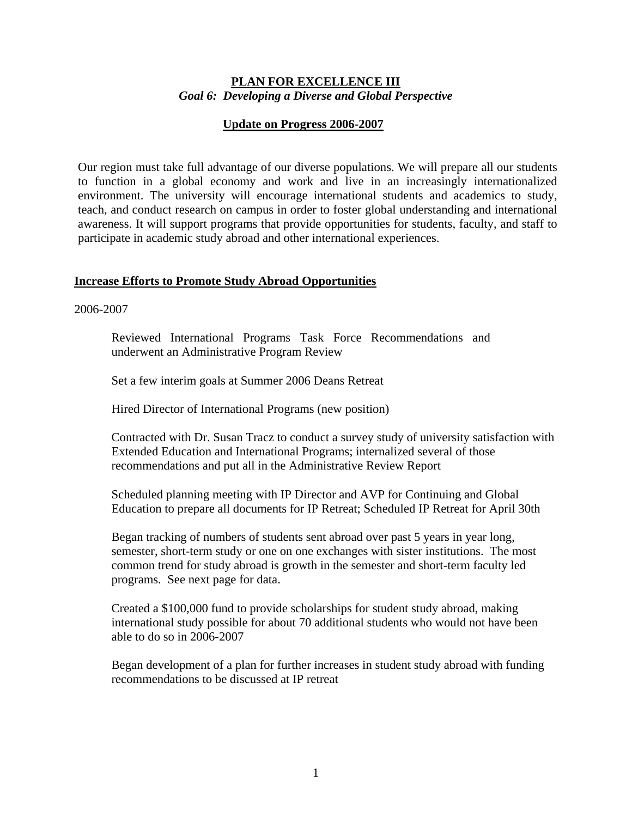## **PLAN FOR EXCELLENCE III** *Goal 6: Developing a Diverse and Global Perspective*

## **Update on Progress 2006-2007**

Our region must take full advantage of our diverse populations. We will prepare all our students to function in a global economy and work and live in an increasingly internationalized environment. The university will encourage international students and academics to study, teach, and conduct research on campus in order to foster global understanding and international awareness. It will support programs that provide opportunities for students, faculty, and staff to participate in academic study abroad and other international experiences.

### **Increase Efforts to Promote Study Abroad Opportunities**

2006-2007

Reviewed International Programs Task Force Recommendations and underwent an Administrative Program Review

Set a few interim goals at Summer 2006 Deans Retreat

Hired Director of International Programs (new position)

Contracted with Dr. Susan Tracz to conduct a survey study of university satisfaction with Extended Education and International Programs; internalized several of those recommendations and put all in the Administrative Review Report

Scheduled planning meeting with IP Director and AVP for Continuing and Global Education to prepare all documents for IP Retreat; Scheduled IP Retreat for April 30th

Began tracking of numbers of students sent abroad over past 5 years in year long, semester, short-term study or one on one exchanges with sister institutions. The most common trend for study abroad is growth in the semester and short-term faculty led programs. See next page for data.

Created a \$100,000 fund to provide scholarships for student study abroad, making international study possible for about 70 additional students who would not have been able to do so in 2006-2007

Began development of a plan for further increases in student study abroad with funding recommendations to be discussed at IP retreat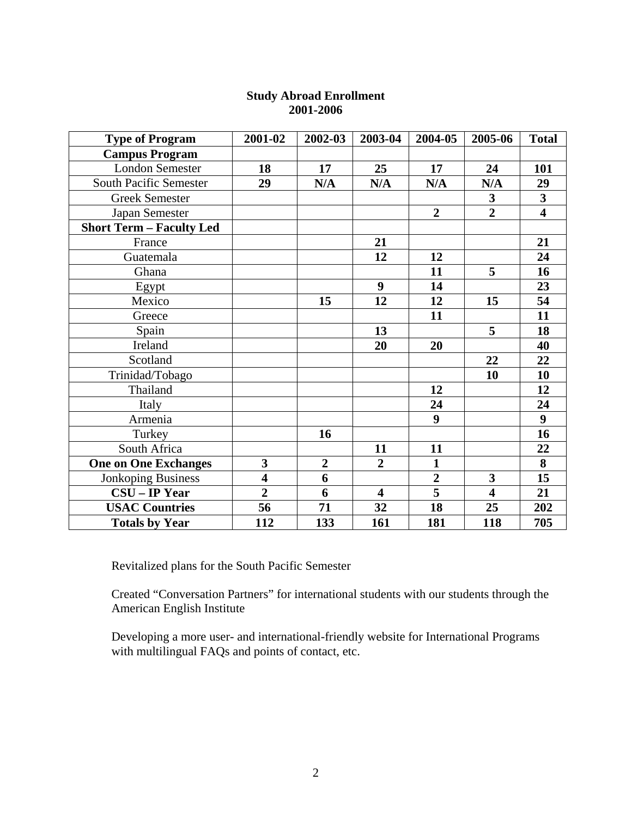| <b>Type of Program</b>          | 2001-02                 | 2002-03          | 2003-04                 | 2004-05                 | 2005-06                 | <b>Total</b>            |
|---------------------------------|-------------------------|------------------|-------------------------|-------------------------|-------------------------|-------------------------|
| <b>Campus Program</b>           |                         |                  |                         |                         |                         |                         |
| <b>London Semester</b>          | 18                      | 17               | 25                      | 17                      | 24                      | 101                     |
| <b>South Pacific Semester</b>   | 29                      | N/A              | N/A                     | N/A                     | N/A                     | 29                      |
| <b>Greek Semester</b>           |                         |                  |                         |                         | $\overline{\mathbf{3}}$ | $\overline{\mathbf{3}}$ |
| Japan Semester                  |                         |                  |                         | $\overline{2}$          | $\overline{2}$          | $\overline{\mathbf{4}}$ |
| <b>Short Term - Faculty Led</b> |                         |                  |                         |                         |                         |                         |
| France                          |                         |                  | 21                      |                         |                         | 21                      |
| Guatemala                       |                         |                  | 12                      | 12                      |                         | 24                      |
| Ghana                           |                         |                  |                         | 11                      | 5                       | 16                      |
| Egypt                           |                         |                  | $\boldsymbol{9}$        | 14                      |                         | 23                      |
| Mexico                          |                         | 15               | 12                      | 12                      | 15                      | 54                      |
| Greece                          |                         |                  |                         | 11                      |                         | 11                      |
| Spain                           |                         |                  | 13                      |                         | 5                       | 18                      |
| Ireland                         |                         |                  | 20                      | 20                      |                         | 40                      |
| Scotland                        |                         |                  |                         |                         | 22                      | 22                      |
| Trinidad/Tobago                 |                         |                  |                         |                         | 10                      | 10                      |
| Thailand                        |                         |                  |                         | 12                      |                         | 12                      |
| Italy                           |                         |                  |                         | 24                      |                         | 24                      |
| Armenia                         |                         |                  |                         | 9                       |                         | $\boldsymbol{9}$        |
| Turkey                          |                         | 16               |                         |                         |                         | 16                      |
| South Africa                    |                         |                  | 11                      | 11                      |                         | 22                      |
| <b>One on One Exchanges</b>     | 3                       | $\boldsymbol{2}$ | $\overline{2}$          | $\mathbf{1}$            |                         | $\overline{\mathbf{8}}$ |
| <b>Jonkoping Business</b>       | $\overline{\mathbf{4}}$ | 6                |                         | $\overline{2}$          | 3                       | 15                      |
| <b>CSU-IP Year</b>              | $\overline{2}$          | 6                | $\overline{\mathbf{4}}$ | $\overline{\mathbf{5}}$ | $\overline{\mathbf{4}}$ | 21                      |
| <b>USAC Countries</b>           | 56                      | 71               | 32                      | 18                      | 25                      | 202                     |
| <b>Totals by Year</b>           | 112                     | 133              | 161                     | 181                     | 118                     | 705                     |

# **Study Abroad Enrollment 2001-2006**

Revitalized plans for the South Pacific Semester

Created "Conversation Partners" for international students with our students through the American English Institute

Developing a more user- and international-friendly website for International Programs with multilingual FAQs and points of contact, etc.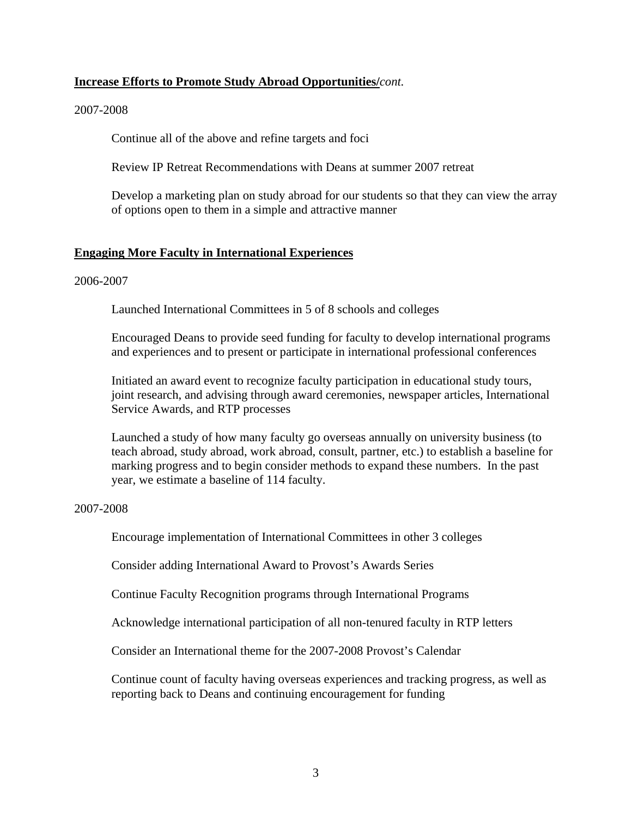### **Increase Efforts to Promote Study Abroad Opportunities/***cont.*

### 2007-2008

Continue all of the above and refine targets and foci

Review IP Retreat Recommendations with Deans at summer 2007 retreat

Develop a marketing plan on study abroad for our students so that they can view the array of options open to them in a simple and attractive manner

### **Engaging More Faculty in International Experiences**

#### 2006-2007

Launched International Committees in 5 of 8 schools and colleges

Encouraged Deans to provide seed funding for faculty to develop international programs and experiences and to present or participate in international professional conferences

Initiated an award event to recognize faculty participation in educational study tours, joint research, and advising through award ceremonies, newspaper articles, International Service Awards, and RTP processes

Launched a study of how many faculty go overseas annually on university business (to teach abroad, study abroad, work abroad, consult, partner, etc.) to establish a baseline for marking progress and to begin consider methods to expand these numbers. In the past year, we estimate a baseline of 114 faculty.

#### 2007-2008

Encourage implementation of International Committees in other 3 colleges

Consider adding International Award to Provost's Awards Series

Continue Faculty Recognition programs through International Programs

Acknowledge international participation of all non-tenured faculty in RTP letters

Consider an International theme for the 2007-2008 Provost's Calendar

Continue count of faculty having overseas experiences and tracking progress, as well as reporting back to Deans and continuing encouragement for funding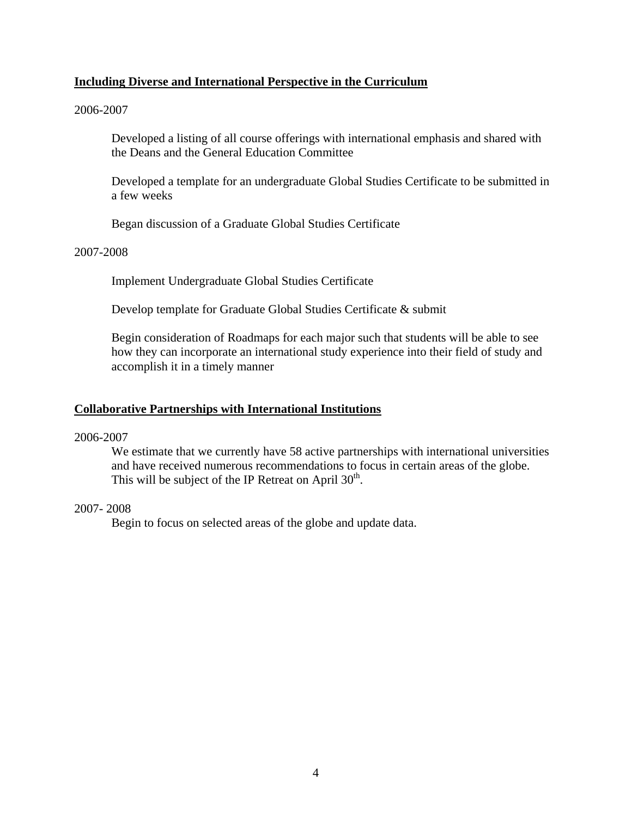## **Including Diverse and International Perspective in the Curriculum**

### 2006-2007

Developed a listing of all course offerings with international emphasis and shared with the Deans and the General Education Committee

Developed a template for an undergraduate Global Studies Certificate to be submitted in a few weeks

Began discussion of a Graduate Global Studies Certificate

## 2007-2008

Implement Undergraduate Global Studies Certificate

Develop template for Graduate Global Studies Certificate & submit

Begin consideration of Roadmaps for each major such that students will be able to see how they can incorporate an international study experience into their field of study and accomplish it in a timely manner

### **Collaborative Partnerships with International Institutions**

#### 2006-2007

We estimate that we currently have 58 active partnerships with international universities and have received numerous recommendations to focus in certain areas of the globe. This will be subject of the IP Retreat on April  $30<sup>th</sup>$ .

#### 2007- 2008

Begin to focus on selected areas of the globe and update data.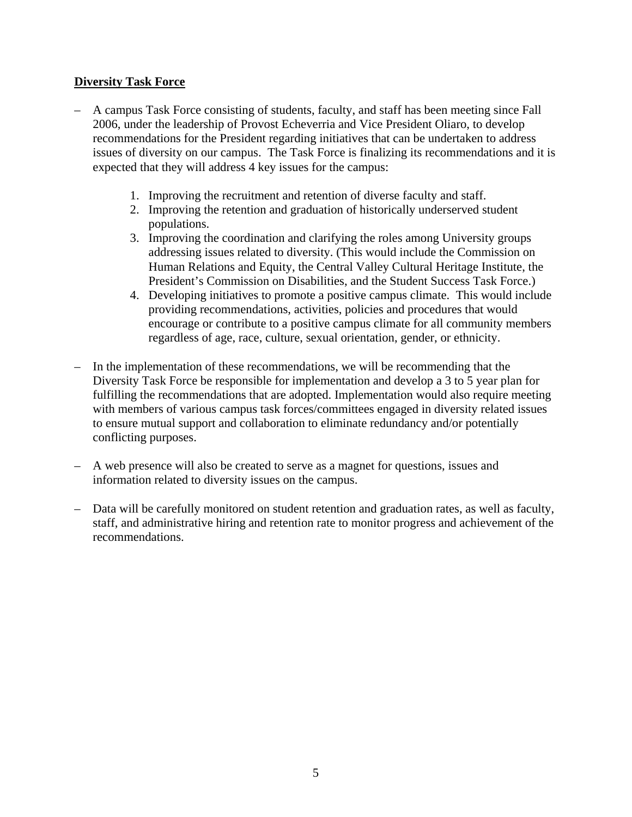# **Diversity Task Force**

- A campus Task Force consisting of students, faculty, and staff has been meeting since Fall 2006, under the leadership of Provost Echeverria and Vice President Oliaro, to develop recommendations for the President regarding initiatives that can be undertaken to address issues of diversity on our campus. The Task Force is finalizing its recommendations and it is expected that they will address 4 key issues for the campus:
	- 1. Improving the recruitment and retention of diverse faculty and staff.
	- 2. Improving the retention and graduation of historically underserved student populations.
	- 3. Improving the coordination and clarifying the roles among University groups addressing issues related to diversity. (This would include the Commission on Human Relations and Equity, the Central Valley Cultural Heritage Institute, the President's Commission on Disabilities, and the Student Success Task Force.)
	- 4. Developing initiatives to promote a positive campus climate. This would include providing recommendations, activities, policies and procedures that would encourage or contribute to a positive campus climate for all community members regardless of age, race, culture, sexual orientation, gender, or ethnicity.
- In the implementation of these recommendations, we will be recommending that the Diversity Task Force be responsible for implementation and develop a 3 to 5 year plan for fulfilling the recommendations that are adopted. Implementation would also require meeting with members of various campus task forces/committees engaged in diversity related issues to ensure mutual support and collaboration to eliminate redundancy and/or potentially conflicting purposes.
- A web presence will also be created to serve as a magnet for questions, issues and information related to diversity issues on the campus.
- Data will be carefully monitored on student retention and graduation rates, as well as faculty, staff, and administrative hiring and retention rate to monitor progress and achievement of the recommendations.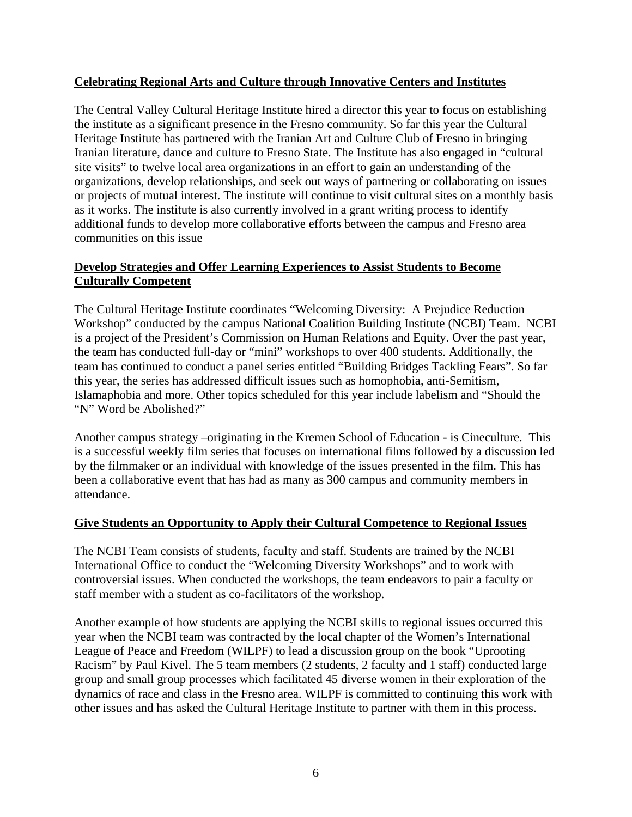# **Celebrating Regional Arts and Culture through Innovative Centers and Institutes**

The Central Valley Cultural Heritage Institute hired a director this year to focus on establishing the institute as a significant presence in the Fresno community. So far this year the Cultural Heritage Institute has partnered with the Iranian Art and Culture Club of Fresno in bringing Iranian literature, dance and culture to Fresno State. The Institute has also engaged in "cultural site visits" to twelve local area organizations in an effort to gain an understanding of the organizations, develop relationships, and seek out ways of partnering or collaborating on issues or projects of mutual interest. The institute will continue to visit cultural sites on a monthly basis as it works. The institute is also currently involved in a grant writing process to identify additional funds to develop more collaborative efforts between the campus and Fresno area communities on this issue

# **Develop Strategies and Offer Learning Experiences to Assist Students to Become Culturally Competent**

The Cultural Heritage Institute coordinates "Welcoming Diversity: A Prejudice Reduction Workshop" conducted by the campus National Coalition Building Institute (NCBI) Team. NCBI is a project of the President's Commission on Human Relations and Equity. Over the past year, the team has conducted full-day or "mini" workshops to over 400 students. Additionally, the team has continued to conduct a panel series entitled "Building Bridges Tackling Fears". So far this year, the series has addressed difficult issues such as homophobia, anti-Semitism, Islamaphobia and more. Other topics scheduled for this year include labelism and "Should the "N" Word be Abolished?"

Another campus strategy –originating in the Kremen School of Education - is Cineculture. This is a successful weekly film series that focuses on international films followed by a discussion led by the filmmaker or an individual with knowledge of the issues presented in the film. This has been a collaborative event that has had as many as 300 campus and community members in attendance.

# **Give Students an Opportunity to Apply their Cultural Competence to Regional Issues**

The NCBI Team consists of students, faculty and staff. Students are trained by the NCBI International Office to conduct the "Welcoming Diversity Workshops" and to work with controversial issues. When conducted the workshops, the team endeavors to pair a faculty or staff member with a student as co-facilitators of the workshop.

Another example of how students are applying the NCBI skills to regional issues occurred this year when the NCBI team was contracted by the local chapter of the Women's International League of Peace and Freedom (WILPF) to lead a discussion group on the book "Uprooting Racism" by Paul Kivel. The 5 team members (2 students, 2 faculty and 1 staff) conducted large group and small group processes which facilitated 45 diverse women in their exploration of the dynamics of race and class in the Fresno area. WILPF is committed to continuing this work with other issues and has asked the Cultural Heritage Institute to partner with them in this process.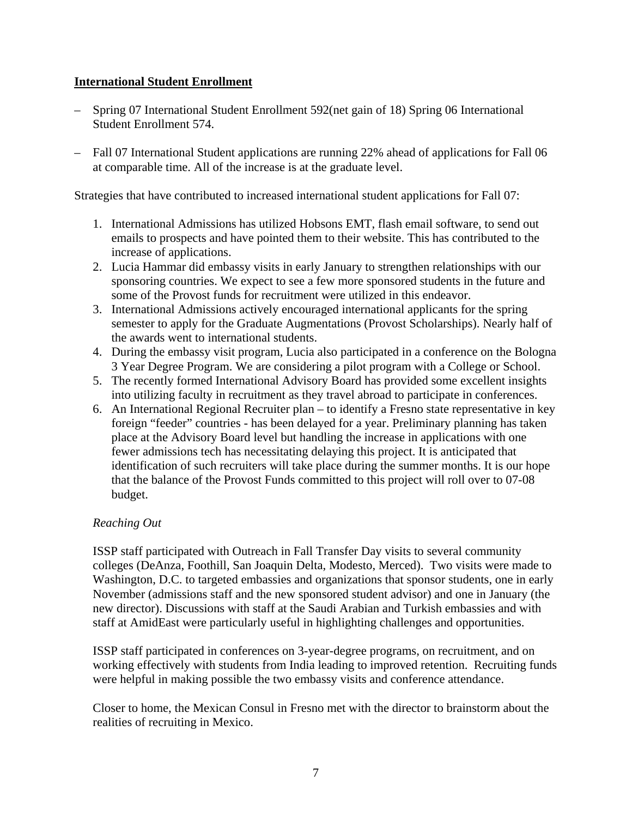## **International Student Enrollment**

- Spring 07 International Student Enrollment 592(net gain of 18) Spring 06 International Student Enrollment 574.
- Fall 07 International Student applications are running 22% ahead of applications for Fall 06 at comparable time. All of the increase is at the graduate level.

Strategies that have contributed to increased international student applications for Fall 07:

- 1. International Admissions has utilized Hobsons EMT, flash email software, to send out emails to prospects and have pointed them to their website. This has contributed to the increase of applications.
- 2. Lucia Hammar did embassy visits in early January to strengthen relationships with our sponsoring countries. We expect to see a few more sponsored students in the future and some of the Provost funds for recruitment were utilized in this endeavor.
- 3. International Admissions actively encouraged international applicants for the spring semester to apply for the Graduate Augmentations (Provost Scholarships). Nearly half of the awards went to international students.
- 4. During the embassy visit program, Lucia also participated in a conference on the Bologna 3 Year Degree Program. We are considering a pilot program with a College or School.
- 5. The recently formed International Advisory Board has provided some excellent insights into utilizing faculty in recruitment as they travel abroad to participate in conferences.
- 6. An International Regional Recruiter plan to identify a Fresno state representative in key foreign "feeder" countries - has been delayed for a year. Preliminary planning has taken place at the Advisory Board level but handling the increase in applications with one fewer admissions tech has necessitating delaying this project. It is anticipated that identification of such recruiters will take place during the summer months. It is our hope that the balance of the Provost Funds committed to this project will roll over to 07-08 budget.

# *Reaching Out*

ISSP staff participated with Outreach in Fall Transfer Day visits to several community colleges (DeAnza, Foothill, San Joaquin Delta, Modesto, Merced). Two visits were made to Washington, D.C. to targeted embassies and organizations that sponsor students, one in early November (admissions staff and the new sponsored student advisor) and one in January (the new director). Discussions with staff at the Saudi Arabian and Turkish embassies and with staff at AmidEast were particularly useful in highlighting challenges and opportunities.

ISSP staff participated in conferences on 3-year-degree programs, on recruitment, and on working effectively with students from India leading to improved retention. Recruiting funds were helpful in making possible the two embassy visits and conference attendance.

Closer to home, the Mexican Consul in Fresno met with the director to brainstorm about the realities of recruiting in Mexico.